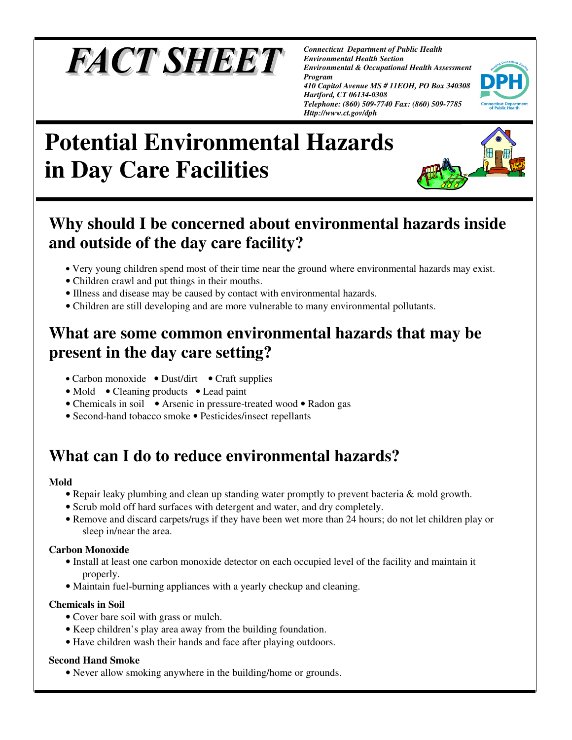# **FACT SHEET**

*Connecticut Department of Public Health Environmental Health Section Environmental & Occupational Health Assessment Program* 

*410 Capitol Avenue MS # 11EOH, PO Box 340308 Hartford, CT 06134-0308 Telephone: (860) 509-7740 Fax: (860) 509-7785 Http://www.ct.gov/dph* 



## **Potential Environmental Hazards in Day Care Facilities**

## **Why should I be concerned about environmental hazards inside and outside of the day care facility?**

- Very young children spend most of their time near the ground where environmental hazards may exist.
- Children crawl and put things in their mouths.
- Illness and disease may be caused by contact with environmental hazards.
- Children are still developing and are more vulnerable to many environmental pollutants.

### **What are some common environmental hazards that may be present in the day care setting?**

- Carbon monoxide Dust/dirt Craft supplies
- Mold Cleaning products Lead paint
- Chemicals in soil Arsenic in pressure-treated wood Radon gas
- Second-hand tobacco smoke Pesticides/insect repellants

## **What can I do to reduce environmental hazards?**

#### **Mold**

- Repair leaky plumbing and clean up standing water promptly to prevent bacteria & mold growth.
- Scrub mold off hard surfaces with detergent and water, and dry completely.
- Remove and discard carpets/rugs if they have been wet more than 24 hours; do not let children play or sleep in/near the area.

#### **Carbon Monoxide**

- Install at least one carbon monoxide detector on each occupied level of the facility and maintain it properly.
- Maintain fuel-burning appliances with a yearly checkup and cleaning.

#### **Chemicals in Soil**

- Cover bare soil with grass or mulch.
- Keep children's play area away from the building foundation.
- Have children wash their hands and face after playing outdoors.

#### **Second Hand Smoke**

• Never allow smoking anywhere in the building/home or grounds.